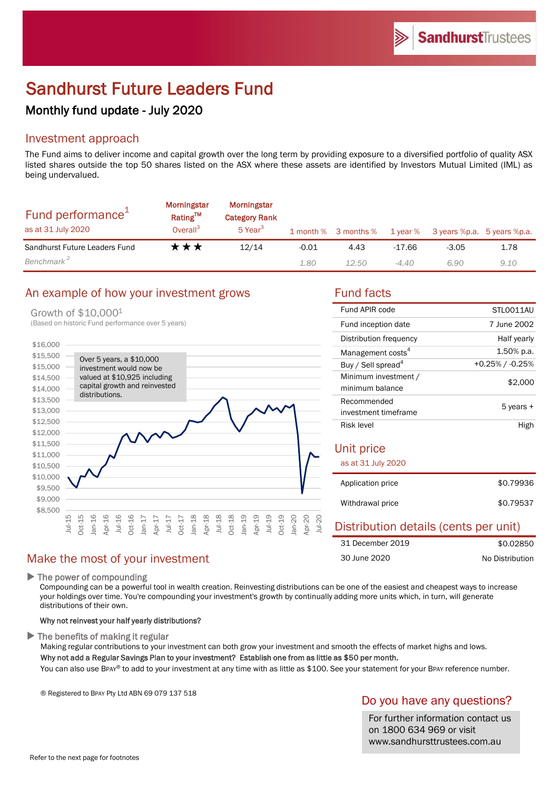# Sandhurst Future Leaders Fund

## Monthly fund update - July 2020

## Investment approach

The Fund aims to deliver income and capital growth over the long term by providing exposure to a diversified portfolio of quality ASX listed shares outside the top 50 shares listed on the ASX where these assets are identified by Investors Mutual Limited (IML) as being undervalued.

| Fund performance <sup>1</sup><br>as at 31 July 2020 | <b>Morningstar</b><br>Rating™<br>Overall <sup>3</sup> | <b>Morningstar</b><br><b>Category Rank</b><br>5 Year <sup>3</sup> |       | 1 month % 3 months % | $1$ year $%$ | 3 years %p.a. 5 years %p.a. |      |
|-----------------------------------------------------|-------------------------------------------------------|-------------------------------------------------------------------|-------|----------------------|--------------|-----------------------------|------|
| Sandhurst Future Leaders Fund                       | ★★★                                                   | 12/14                                                             | -0.01 | 4.43                 | $-17.66$     | $-3.05$                     | 1.78 |
| Benchmark <sup>2</sup>                              |                                                       |                                                                   | 1.80  | 12.50                | -4.40        | 6.90                        | 9.10 |

## An example of how your investment grows Fund facts

#### Growth of \$10,0001

(Based on historic Fund performance over 5 years)



## Make the most of your investment

 $\blacktriangleright$  The power of compounding

Compounding can be a powerful tool in wealth creation. Reinvesting distributions can be one of the easiest and cheapest ways to increase your holdings over time. You're compounding your investment's growth by continually adding more units which, in turn, will generate distributions of their own.

#### Why not reinvest your half yearly distributions?

 $\blacktriangleright$  The benefits of making it regular

Making regular contributions to your investment can both grow your investment and smooth the effects of market highs and lows. Why not add a Regular Savings Plan to your investment? Establish one from as little as \$50 per month.

You can also use BPAY® to add to your investment at any time with as little as \$100. See your statement for your BPAY reference number.

® Registered to BPAY Pty Ltd ABN 69 079 137 518

## Do you have any questions?

For further information contact us on 1800 634 969 or visit www.sandhursttrustees.com.au

| Fund APIR code                          | STLO011AU          |
|-----------------------------------------|--------------------|
| Fund inception date                     | 7 June 2002        |
| Distribution frequency                  | Half yearly        |
| Management costs <sup>4</sup>           | 1.50% p.a.         |
| Buy / Sell spread <sup>4</sup>          | $+0.25\%$ / -0.25% |
| Minimum investment /<br>minimum balance | \$2,000            |
| Recommended<br>investment timeframe     | 5 years +          |
| Risk level                              | High               |
| Unit price                              |                    |

| as at 31 July 2020 |           |
|--------------------|-----------|
| Application price  | \$0.79936 |
| Withdrawal price   | \$0.79537 |

#### Distribution details (cents per unit) \$0.02850 No Distribution 31 December 2019 30 June 2020